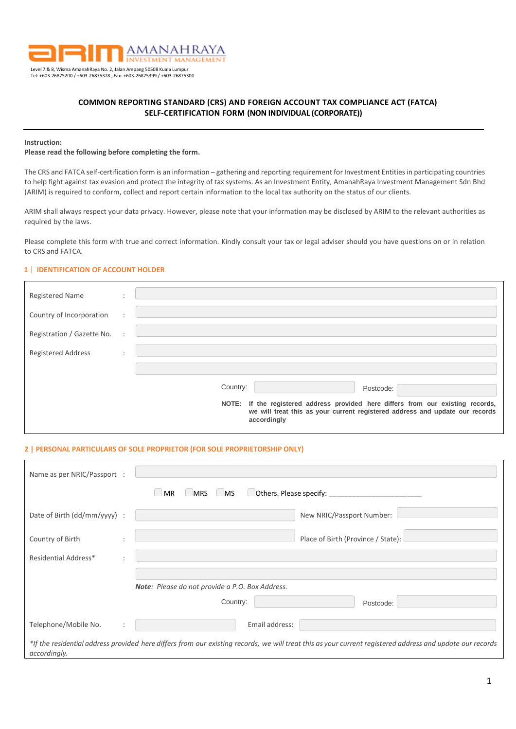

# **COMMON REPORTING STANDARD (CRS) AND FOREIGN ACCOUNT TAX COMPLIANCE ACT (FATCA) SELF-CERTIFICATION FORM (NON INDIVIDUAL (CORPORATE))**

#### **Instruction:**

#### **Please read the following before completing the form.**

The CRS and FATCA self-certification form is an information – gathering and reporting requirement for Investment Entities in participating countries to help fight against tax evasion and protect the integrity of tax systems. As an Investment Entity, AmanahRaya Investment Management Sdn Bhd (ARIM) is required to conform, collect and report certain information to the local tax authority on the status of our clients.

ARIM shall always respect your data privacy. However, please note that your information may be disclosed by ARIM to the relevant authorities as required by the laws.

Please complete this form with true and correct information. Kindly consult your tax or legal adviser should you have questions on or in relation to CRS and FATCA.

### **1** | **IDENTIFICATION OF ACCOUNT HOLDER**

| <b>Registered Name</b>     | $\bullet$            |                                                                                                                                                                                                                               |
|----------------------------|----------------------|-------------------------------------------------------------------------------------------------------------------------------------------------------------------------------------------------------------------------------|
| Country of Incorporation   | $\ddot{\phantom{a}}$ |                                                                                                                                                                                                                               |
| Registration / Gazette No. | $\therefore$         | the control of the control of the control of the control of the control of the control of the control of the control of the control of the control of the control of the control of the control of the control of the control |
| <b>Registered Address</b>  | $\bullet$            |                                                                                                                                                                                                                               |
|                            |                      |                                                                                                                                                                                                                               |
|                            |                      | Country:<br>Postcode:                                                                                                                                                                                                         |
|                            |                      | NOTE: If the registered address provided here differs from our existing records,<br>we will treat this as your current registered address and update our records<br>accordingly                                               |

#### **2 | PERSONAL PARTICULARS OF SOLE PROPRIETOR (FOR SOLE PROPRIETORSHIP ONLY)**

| Name as per NRIC/Passport :                                                                                                                                               |                                                 |  |  |  |  |
|---------------------------------------------------------------------------------------------------------------------------------------------------------------------------|-------------------------------------------------|--|--|--|--|
| MRS<br>$\Box$ MR<br>$\Box$ MS                                                                                                                                             |                                                 |  |  |  |  |
| Date of Birth (dd/mm/yyyy) :                                                                                                                                              | New NRIC/Passport Number:                       |  |  |  |  |
| Country of Birth                                                                                                                                                          | Place of Birth (Province / State):              |  |  |  |  |
| Residential Address*                                                                                                                                                      |                                                 |  |  |  |  |
|                                                                                                                                                                           | Note: Please do not provide a P.O. Box Address. |  |  |  |  |
|                                                                                                                                                                           | Country:<br>Postcode:                           |  |  |  |  |
| Telephone/Mobile No.<br>$\ddot{\phantom{a}}$                                                                                                                              | Email address:                                  |  |  |  |  |
| *If the residential address provided here differs from our existing records, we will treat this as your current registered address and update our records<br>accordingly. |                                                 |  |  |  |  |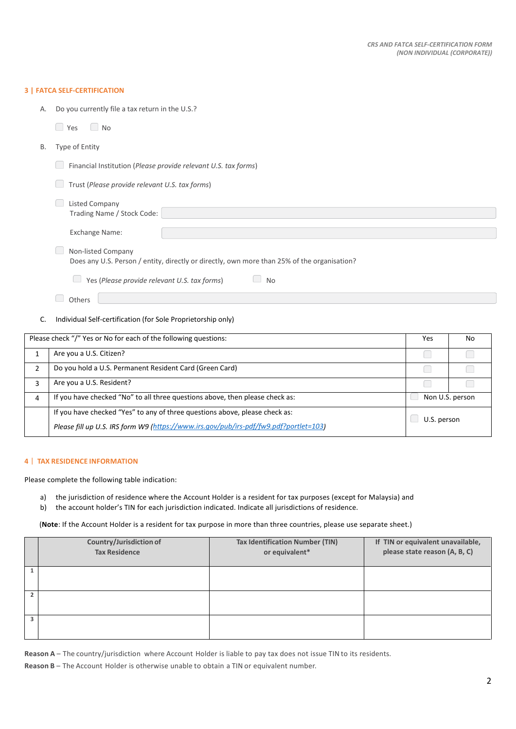## **3 | FATCA SELF-CERTIFICATION**

| А. | Do you currently file a tax return in the U.S.?                                             |     |    |  |  |
|----|---------------------------------------------------------------------------------------------|-----|----|--|--|
|    | $\Box$ Yes<br>$\Box$ No                                                                     |     |    |  |  |
| B. | Type of Entity                                                                              |     |    |  |  |
|    | Financial Institution (Please provide relevant U.S. tax forms)                              |     |    |  |  |
|    | Trust (Please provide relevant U.S. tax forms)                                              |     |    |  |  |
|    | <b>Listed Company</b>                                                                       |     |    |  |  |
|    | Trading Name / Stock Code:                                                                  |     |    |  |  |
|    | Exchange Name:                                                                              |     |    |  |  |
|    | Non-listed Company                                                                          |     |    |  |  |
|    | Does any U.S. Person / entity, directly or directly, own more than 25% of the organisation? |     |    |  |  |
|    | Yes (Please provide relevant U.S. tax forms)<br><b>No</b>                                   |     |    |  |  |
|    | Others                                                                                      |     |    |  |  |
| C. | Individual Self-certification (for Sole Proprietorship only)                                |     |    |  |  |
|    | Please check "/" Yes or No for each of the following questions:                             | Yes | No |  |  |

|   | Are you a U.S. Citizen?                                                               |                 |  |  |
|---|---------------------------------------------------------------------------------------|-----------------|--|--|
|   | Do you hold a U.S. Permanent Resident Card (Green Card)                               |                 |  |  |
| 3 | Are you a U.S. Resident?                                                              |                 |  |  |
| 4 | If you have checked "No" to all three questions above, then please check as:          | Non U.S. person |  |  |
|   | If you have checked "Yes" to any of three questions above, please check as:           | U.S. person     |  |  |
|   | Please fill up U.S. IRS form W9 (https://www.irs.gov/pub/irs-pdf/fw9.pdf?portlet=103) |                 |  |  |

# **4** | **TAX RESIDENCE INFORMATION**

Please complete the following table indication:

- a) the jurisdiction of residence where the Account Holder is a resident for tax purposes (except for Malaysia) and
- b) the account holder's TIN for each jurisdiction indicated. Indicate all jurisdictions of residence.

(**Note**: If the Account Holder is a resident for tax purpose in more than three countries, please use separate sheet.)

|                | Country/Jurisdiction of<br><b>Tax Residence</b> | <b>Tax Identification Number (TIN)</b><br>or equivalent* | If TIN or equivalent unavailable,<br>please state reason (A, B, C) |
|----------------|-------------------------------------------------|----------------------------------------------------------|--------------------------------------------------------------------|
|                |                                                 |                                                          |                                                                    |
| $\overline{2}$ |                                                 |                                                          |                                                                    |
| 3              |                                                 |                                                          |                                                                    |

**Reason A** – The country/jurisdiction where Account Holder is liable to pay tax does not issue TIN to its residents.

**Reason B** – The Account Holder is otherwise unable to obtain a TIN or equivalent number.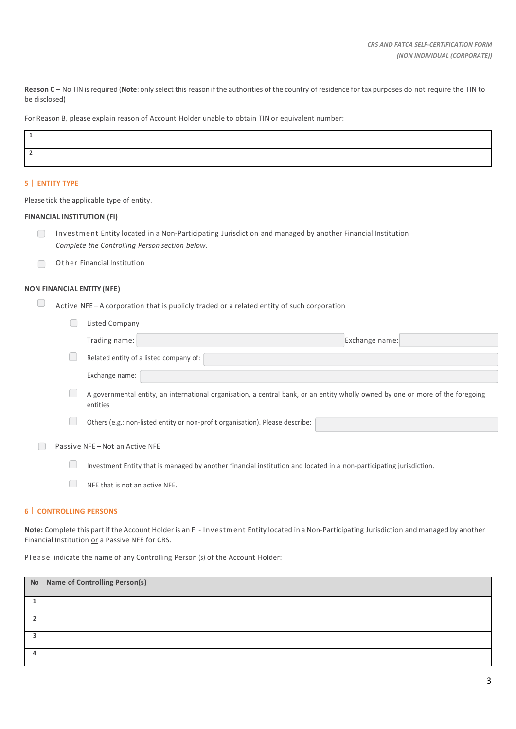**Reason C** – No TIN isrequired (**Note**: only select this reason if the authorities of the country of residence for tax purposes do not require the TIN to be disclosed)

For Reason B, please explain reason of Account Holder unable to obtain TIN or equivalent number:

# **5** | **ENTITY TYPE**

Please tick the applicable type of entity.

### **FINANCIAL INSTITUTION (FI)**

| Investment Entity located in a Non-Participating Jurisdiction and managed by another Financial Institution |
|------------------------------------------------------------------------------------------------------------|
| Complete the Controlling Person section below.                                                             |

# **NON FINANCIAL ENTITY (NFE)**

 $\Box$ Active NFE – A corporation that is publicly traded or a related entity of such corporation

| Listed Company                                                                                                                              |  |  |  |
|---------------------------------------------------------------------------------------------------------------------------------------------|--|--|--|
| Trading name:<br>Exchange name:                                                                                                             |  |  |  |
| Related entity of a listed company of:                                                                                                      |  |  |  |
| Exchange name:                                                                                                                              |  |  |  |
| A governmental entity, an international organisation, a central bank, or an entity wholly owned by one or more of the foregoing<br>entities |  |  |  |
| Others (e.g.: non-listed entity or non-profit organisation). Please describe:                                                               |  |  |  |
| Passive NFE – Not an Active NFE                                                                                                             |  |  |  |
| Investment Entity that is managed by another financial institution and located in a non-participating jurisdiction.                         |  |  |  |

 $\Box$  NFE that is not an active NFE.

# **6** | **CONTROLLING PERSONS**

**Note:** Complete this part if the Account Holder is an FI - Investment Entity located in a Non-Participating Jurisdiction and managed by another Financial Institution or a Passive NFE for CRS.

Please indicate the name of any Controlling Person (s) of the Account Holder:

| No   Name of Controlling Person(s) |
|------------------------------------|
|                                    |
|                                    |
|                                    |
|                                    |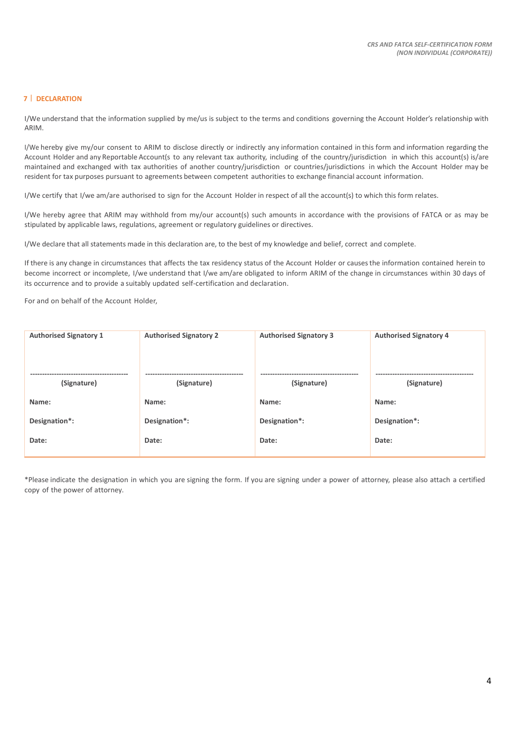# **7** | **DECLARATION**

I/We understand that the information supplied by me/us is subject to the terms and conditions governing the Account Holder's relationship with ARIM.

I/We hereby give my/our consent to ARIM to disclose directly or indirectly any information contained in this form and information regarding the Account Holder and any Reportable Account(s to any relevant tax authority, including of the country/jurisdiction in which this account(s) is/are maintained and exchanged with tax authorities of another country/jurisdiction or countries/jurisdictions in which the Account Holder may be resident for tax purposes pursuant to agreements between competent authorities to exchange financial account information.

I/We certify that I/we am/are authorised to sign for the Account Holder in respect of all the account(s) to which this form relates.

I/We hereby agree that ARIM may withhold from my/our account(s) such amounts in accordance with the provisions of FATCA or as may be stipulated by applicable laws, regulations, agreement or regulatory guidelines or directives.

I/We declare that all statements made in this declaration are, to the best of my knowledge and belief, correct and complete.

If there is any change in circumstances that affects the tax residency status of the Account Holder or causesthe information contained herein to become incorrect or incomplete, I/we understand that I/we am/are obligated to inform ARIM of the change in circumstances within 30 days of its occurrence and to provide a suitably updated self-certification and declaration.

For and on behalf of the Account Holder,

| <b>Authorised Signatory 1</b> | <b>Authorised Signatory 2</b> | <b>Authorised Signatory 3</b> | <b>Authorised Signatory 4</b> |
|-------------------------------|-------------------------------|-------------------------------|-------------------------------|
|                               |                               |                               |                               |
|                               |                               |                               |                               |
|                               |                               |                               |                               |
| (Signature)                   | (Signature)                   | (Signature)                   | (Signature)                   |
|                               |                               |                               |                               |
| Name:                         | Name:                         | Name:                         | Name:                         |
|                               |                               |                               |                               |
| Designation*:                 | Designation*:                 | Designation*:                 | Designation*:                 |
| Date:                         | Date:                         | Date:                         | Date:                         |
|                               |                               |                               |                               |
|                               |                               |                               |                               |

\*Please indicate the designation in which you are signing the form. If you are signing under a power of attorney, please also attach a certified copy of the power of attorney.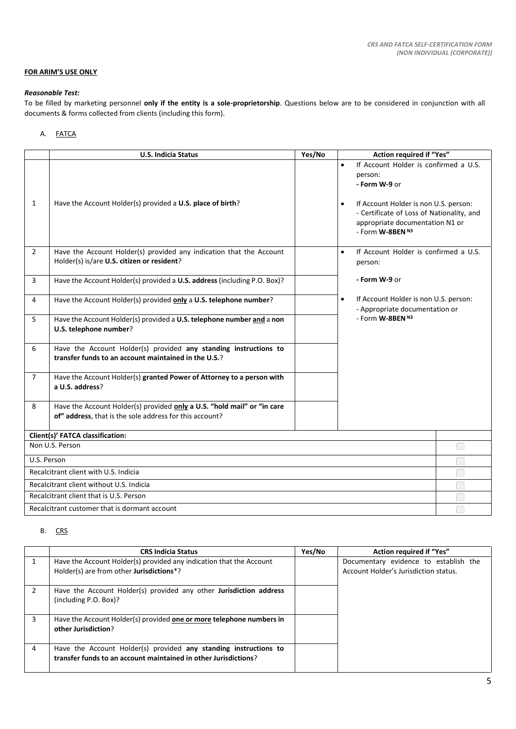# **FOR ARIM'S USE ONLY**

## *Reasonable Test:*

To be filled by marketing personnel **only if the entity is a sole-proprietorship**. Questions below are to be considered in conjunction with all documents & forms collected from clients (including this form).

## A. FATCA

|                                          | <b>U.S. Indicia Status</b>                                                                                                         | Yes/No |           | Action required if "Yes"                                                                                                                                                                                       |  |
|------------------------------------------|------------------------------------------------------------------------------------------------------------------------------------|--------|-----------|----------------------------------------------------------------------------------------------------------------------------------------------------------------------------------------------------------------|--|
| 1                                        | Have the Account Holder(s) provided a U.S. place of birth?                                                                         |        | $\bullet$ | If Account Holder is confirmed a U.S.<br>person:<br>- Form W-9 or<br>If Account Holder is non U.S. person:<br>- Certificate of Loss of Nationality, and<br>appropriate documentation N1 or<br>- Form W-8BEN N3 |  |
| $\overline{2}$                           | Have the Account Holder(s) provided any indication that the Account<br>Holder(s) is/are U.S. citizen or resident?                  |        | $\bullet$ | If Account Holder is confirmed a U.S.<br>person:                                                                                                                                                               |  |
| 3                                        | Have the Account Holder(s) provided a U.S. address (including P.O. Box)?                                                           |        |           | - Form W-9 or                                                                                                                                                                                                  |  |
| 4                                        | Have the Account Holder(s) provided only a U.S. telephone number?                                                                  |        | $\bullet$ | If Account Holder is non U.S. person:<br>- Appropriate documentation or                                                                                                                                        |  |
| 5                                        | Have the Account Holder(s) provided a U.S. telephone number and a non<br>U.S. telephone number?                                    |        |           | - Form W-8BEN N3                                                                                                                                                                                               |  |
| 6                                        | Have the Account Holder(s) provided any standing instructions to<br>transfer funds to an account maintained in the U.S.?           |        |           |                                                                                                                                                                                                                |  |
| $\overline{7}$                           | Have the Account Holder(s) granted Power of Attorney to a person with<br>a U.S. address?                                           |        |           |                                                                                                                                                                                                                |  |
| 8                                        | Have the Account Holder(s) provided only a U.S. "hold mail" or "in care<br>of" address, that is the sole address for this account? |        |           |                                                                                                                                                                                                                |  |
|                                          | Client(s)' FATCA classification:                                                                                                   |        |           |                                                                                                                                                                                                                |  |
|                                          | Non U.S. Person                                                                                                                    |        |           |                                                                                                                                                                                                                |  |
| U.S. Person                              |                                                                                                                                    |        |           |                                                                                                                                                                                                                |  |
| Recalcitrant client with U.S. Indicia    |                                                                                                                                    |        |           |                                                                                                                                                                                                                |  |
| Recalcitrant client without U.S. Indicia |                                                                                                                                    |        |           |                                                                                                                                                                                                                |  |
| Recalcitrant client that is U.S. Person  |                                                                                                                                    |        |           |                                                                                                                                                                                                                |  |
|                                          | Recalcitrant customer that is dormant account                                                                                      |        |           |                                                                                                                                                                                                                |  |

# B. CRS

|   | <b>CRS Indicia Status</b>                                                                                                           | Yes/No | <b>Action required if "Yes"</b>                                                |
|---|-------------------------------------------------------------------------------------------------------------------------------------|--------|--------------------------------------------------------------------------------|
|   | Have the Account Holder(s) provided any indication that the Account<br>Holder(s) are from other Jurisdictions*?                     |        | Documentary evidence to establish the<br>Account Holder's Jurisdiction status. |
| 2 | Have the Account Holder(s) provided any other <b>Jurisdiction address</b><br>(including P.O. Box)?                                  |        |                                                                                |
| 3 | Have the Account Holder(s) provided one or more telephone numbers in<br>other Jurisdiction?                                         |        |                                                                                |
| 4 | Have the Account Holder(s) provided any standing instructions to<br>transfer funds to an account maintained in other Jurisdictions? |        |                                                                                |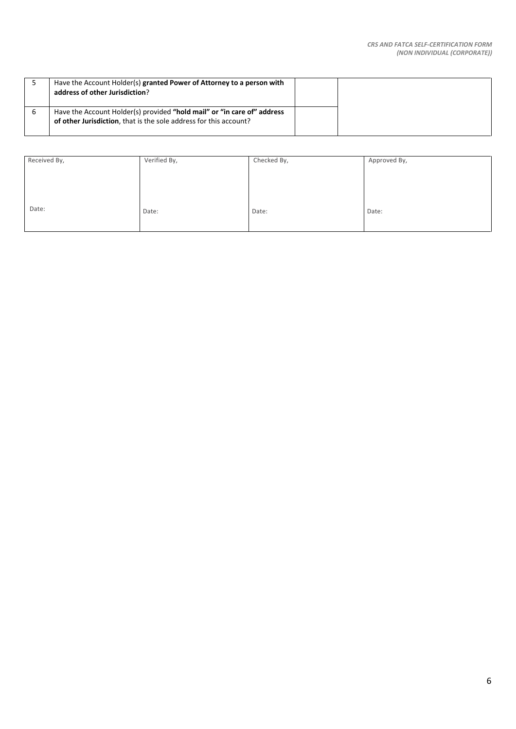| Have the Account Holder(s) granted Power of Attorney to a person with<br>address of other Jurisdiction?                                      |  |
|----------------------------------------------------------------------------------------------------------------------------------------------|--|
| Have the Account Holder(s) provided "hold mail" or "in care of" address<br>of other Jurisdiction, that is the sole address for this account? |  |

| Received By, | Verified By, | Checked By, | Approved By, |
|--------------|--------------|-------------|--------------|
|              |              |             |              |
|              |              |             |              |
|              |              |             |              |
| Date:        | Date:        | Date:       | Date:        |
|              |              |             |              |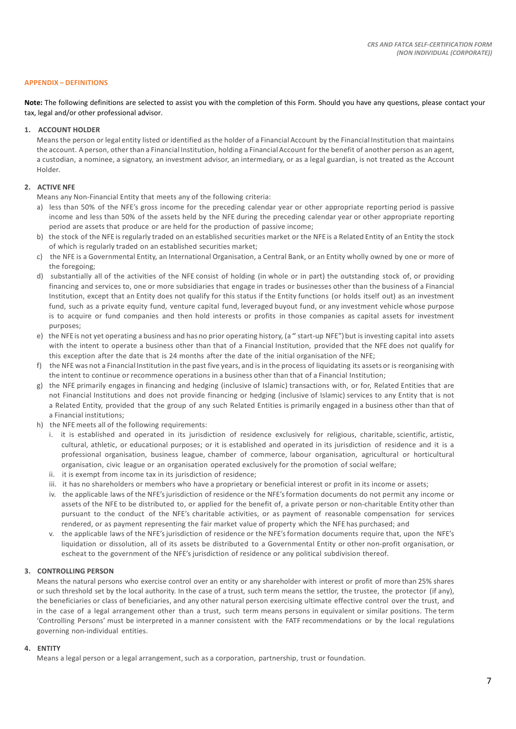#### **APPENDIX – DEFINITIONS**

**Note:** The following definitions are selected to assist you with the completion of this Form. Should you have any questions, please contact your tax, legal and/or other professional advisor.

#### **1. ACCOUNT HOLDER**

Means the person or legal entity listed or identified asthe holder of a Financial Account by the Financial Institution that maintains the account. A person, other than a Financial Institution, holding a FinancialAccount for the benefit of another person as an agent, a custodian, a nominee, a signatory, an investment advisor, an intermediary, or as a legal guardian, is not treated as the Account Holder.

### **2. ACTIVE NFE**

Means any Non-Financial Entity that meets any of the following criteria:

- a) less than 50% of the NFE's gross income for the preceding calendar year or other appropriate reporting period is passive income and less than 50% of the assets held by the NFE during the preceding calendar year or other appropriate reporting period are assets that produce or are held for the production of passive income;
- b) the stock of the NFE is regularly traded on an established securities market or the NFE is a Related Entity of an Entity the stock of which is regularly traded on an established securities market;
- c) the NFE is a Governmental Entity, an International Organisation, a Central Bank, or an Entity wholly owned by one or more of the foregoing;
- d) substantially all of the activities of the NFE consist of holding (in whole or in part) the outstanding stock of, or providing financing and services to, one or more subsidiaries that engage in trades or businesses other than the business of a Financial Institution, except that an Entity does not qualify for this status if the Entity functions (or holds itself out) as an investment fund, such as a private equity fund, venture capital fund, leveraged buyout fund, or any investment vehicle whose purpose is to acquire or fund companies and then hold interests or profits in those companies as capital assets for investment purposes;
- e) the NFE is not yet operating a business and has no prior operating history, (a " start-up NFE") but is investing capital into assets with the intent to operate a business other than that of a Financial Institution, provided that the NFE does not qualify for this exception after the date that is 24 months after the date of the initial organisation of the NFE;
- f) the NFE was not a Financial Institution in the past five years, and is in the process of liquidating its assets or is reorganising with the intent to continue or recommence operations in a business other than that of a Financial Institution;
- g) the NFE primarily engages in financing and hedging (inclusive of Islamic) transactions with, or for, Related Entities that are not Financial Institutions and does not provide financing or hedging (inclusive of Islamic) services to any Entity that is not a Related Entity, provided that the group of any such Related Entities is primarily engaged in a business other than that of a Financial institutions;
- h) the NFE meets all of the following requirements:
	- i. it is established and operated in its jurisdiction of residence exclusively for religious, charitable, scientific, artistic, cultural, athletic, or educational purposes; or it is established and operated in its jurisdiction of residence and it is a professional organisation, business league, chamber of commerce, labour organisation, agricultural or horticultural organisation, civic league or an organisation operated exclusively for the promotion of social welfare;
	- ii. it is exempt from income tax in its jurisdiction of residence;
	- iii. it has no shareholders or members who have a proprietary or beneficial interest or profit in its income or assets;
	- iv. the applicable laws of the NFE's jurisdiction of residence or the NFE's formation documents do not permit any income or assets of the NFE to be distributed to, or applied for the benefit of, a private person or non-charitable Entity other than pursuant to the conduct of the NFE's charitable activities, or as payment of reasonable compensation for services rendered, or as payment representing the fair market value of property which the NFE has purchased; and
	- v. the applicable laws of the NFE'sjurisdiction of residence or the NFE'sformation documents require that, upon the NFE's liquidation or dissolution, all of its assets be distributed to a Governmental Entity or other non-profit organisation, or escheat to the government of the NFE's jurisdiction of residence or any political subdivision thereof.

#### **3. CONTROLLING PERSON**

Means the natural persons who exercise control over an entity or any shareholder with interest or profit of more than 25% shares or such threshold set by the local authority. In the case of a trust, such term means the settlor, the trustee, the protector (if any), the beneficiaries or class of beneficiaries, and any other natural person exercising ultimate effective control over the trust, and in the case of a legal arrangement other than a trust, such term means persons in equivalent or similar positions. The term 'Controlling Persons' must be interpreted in a manner consistent with the FATF recommendations or by the local regulations governing non-individual entities.

#### **4. ENTITY**

Means a legal person or a legal arrangement, such as a corporation, partnership, trust or foundation.